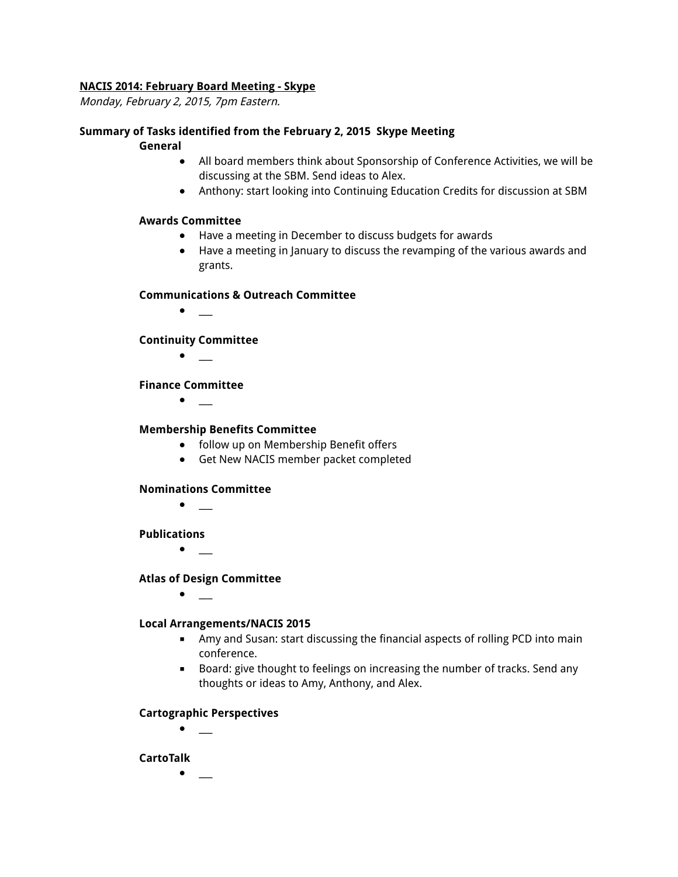#### **NACIS 2014: February Board Meeting - Skype**

Monday, February 2, 2015, 7pm Eastern.

#### **Summary of Tasks identified from the February 2, 2015 Skype Meeting**

#### **General**

- All board members think about Sponsorship of Conference Activities, we will be discussing at the SBM. Send ideas to Alex.
- **●** Anthony: start looking into Continuing Education Credits for discussion at SBM

#### **Awards Committee**

- Have a meeting in December to discuss budgets for awards
- **●** Have a meeting in January to discuss the revamping of the various awards and grants.

#### **Communications & Outreach Committee**

● \_\_\_

#### **Continuity Committee**

● \_\_\_

#### **Finance Committee**

 $\bullet$  \_

#### **Membership Benefits Committee**

- follow up on Membership Benefit offers
- **●** Get New NACIS member packet completed

#### **Nominations Committee**

**●** \_\_\_

#### **Publications**

● \_\_\_

#### **Atlas of Design Committee**

● \_\_\_

#### **Local Arrangements/NACIS 2015**

- Amy and Susan: start discussing the financial aspects of rolling PCD into main conference.
- Board: give thought to feelings on increasing the number of tracks. Send any thoughts or ideas to Amy, Anthony, and Alex.

#### **Cartographic Perspectives**

 $\bullet$  \_

#### **CartoTalk**

 $\bullet$  \_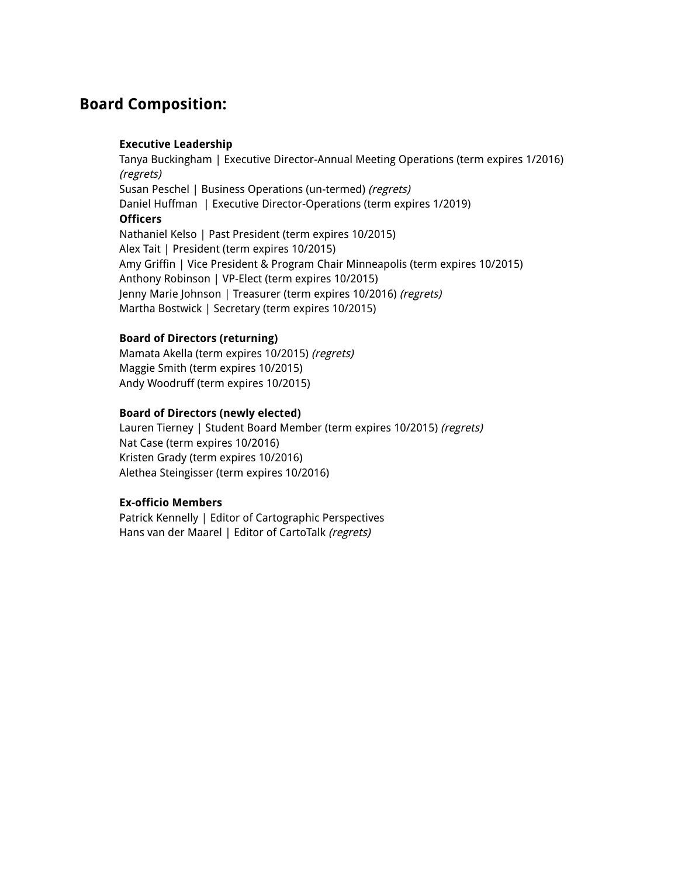# **Board Composition:**

#### **Executive Leadership**

Tanya Buckingham | Executive Director-Annual Meeting Operations (term expires 1/2016) (regrets) Susan Peschel | Business Operations (un-termed) (regrets) Daniel Huffman | Executive Director-Operations (term expires 1/2019) **Officers** Nathaniel Kelso | Past President (term expires 10/2015) Alex Tait | President (term expires 10/2015) Amy Griffin | Vice President & Program Chair Minneapolis (term expires 10/2015) Anthony Robinson | VP-Elect (term expires 10/2015) Jenny Marie Johnson | Treasurer (term expires 10/2016) (regrets) Martha Bostwick | Secretary (term expires 10/2015)

#### **Board of Directors (returning)**

Mamata Akella (term expires 10/2015) (regrets) Maggie Smith (term expires 10/2015) Andy Woodruff (term expires 10/2015)

#### **Board of Directors (newly elected)**

Lauren Tierney | Student Board Member (term expires 10/2015) (regrets) Nat Case (term expires 10/2016) Kristen Grady (term expires 10/2016) Alethea Steingisser (term expires 10/2016)

#### **Ex-officio Members**

Patrick Kennelly | Editor of Cartographic Perspectives Hans van der Maarel | Editor of CartoTalk (regrets)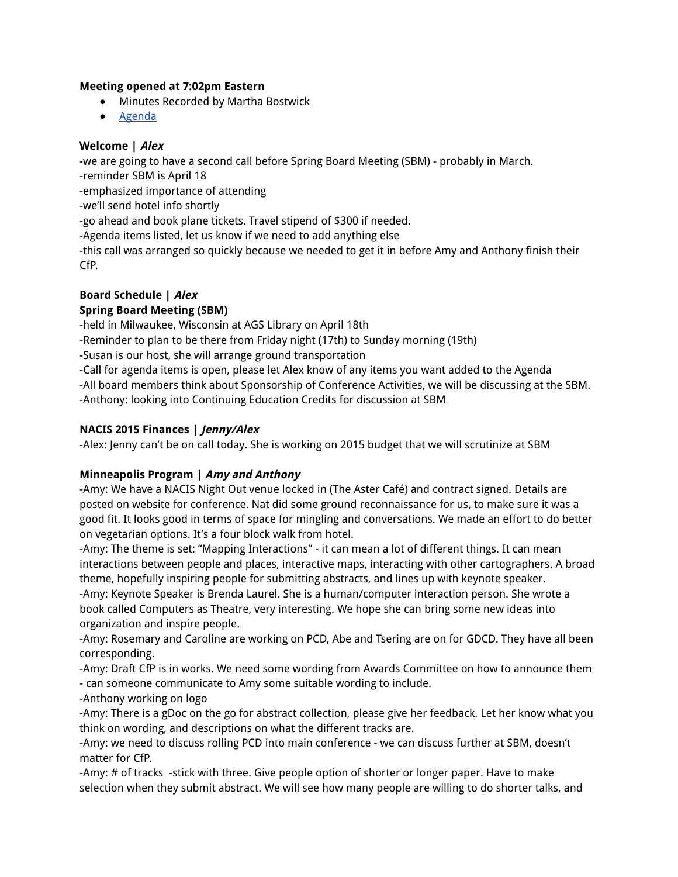#### **Meeting opened at 7:02pm Eastern**

- Minutes Recorded by Martha Bostwick
- Agenda

#### **Welcome | Alex**

-we are going to have a second call before Spring Board Meeting (SBM) - probably in March.

-reminder SBM is April 18

-emphasized importance of attending

-we'll send hotel info shortly

-go ahead and book plane tickets. Travel stipend of \$300 if needed.

-Agenda items listed, let us know if we need to add anything else

-this call was arranged so quickly because we needed to get it in before Amy and Anthony finish their CfP.

# **Board Schedule | Alex**

# **Spring Board Meeting (SBM)**

-held in Milwaukee, Wisconsin at AGS Library on April 18th

-Reminder to plan to be there from Friday night (17th) to Sunday morning (19th)

-Susan is our host, she will arrange ground transportation

-Call for agenda items is open, please let Alex know of any items you want added to the Agenda -All board members think about Sponsorship of Conference Activities, we will be discussing at the SBM. -Anthony: looking into Continuing Education Credits for discussion at SBM

# **NACIS 2015 Finances | Jenny/Alex**

-Alex: Jenny can't be on call today. She is working on 2015 budget that we will scrutinize at SBM

# **Minneapolis Program | Amy and Anthony**

-Amy: We have a NACIS Night Out venue locked in (The Aster Café) and contract signed. Details are posted on website for conference. Nat did some ground reconnaissance for us, to make sure it was a good fit. It looks good in terms of space for mingling and conversations. We made an effort to do better on vegetarian options. It's a four block walk from hotel.

-Amy: The theme is set: "Mapping Interactions" - it can mean a lot of different things. It can mean interactions between people and places, interactive maps, interacting with other cartographers. A broad theme, hopefully inspiring people for submitting abstracts, and lines up with keynote speaker.

-Amy: Keynote Speaker is Brenda Laurel. She is a human/computer interaction person. She wrote a book called Computers as Theatre, very interesting. We hope she can bring some new ideas into organization and inspire people.

-Amy: Rosemary and Caroline are working on PCD, Abe and Tsering are on for GDCD. They have all been corresponding.

-Amy: Draft CfP is in works. We need some wording from Awards Committee on how to announce them - can someone communicate to Amy some suitable wording to include.

-Anthony working on logo

-Amy: There is a gDoc on the go for abstract collection, please give her feedback. Let her know what you think on wording, and descriptions on what the different tracks are.

-Amy: we need to discuss rolling PCD into main conference - we can discuss further at SBM, doesn't matter for CfP.

-Amy: # of tracks -stick with three. Give people option of shorter or longer paper. Have to make selection when they submit abstract. We will see how many people are willing to do shorter talks, and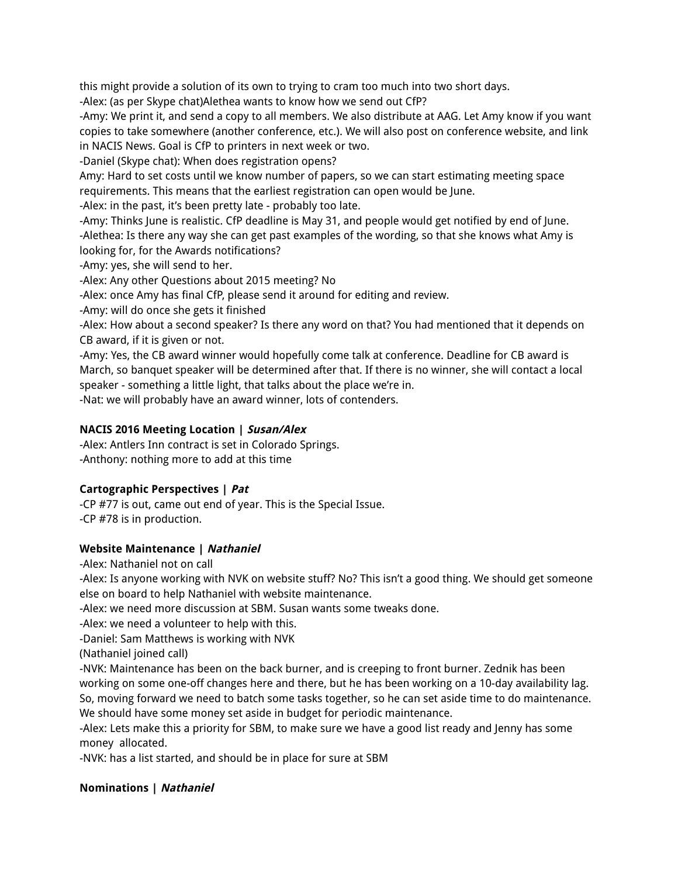this might provide a solution of its own to trying to cram too much into two short days.

-Alex: (as per Skype chat)Alethea wants to know how we send out CfP?

-Amy: We print it, and send a copy to all members. We also distribute at AAG. Let Amy know if you want copies to take somewhere (another conference, etc.). We will also post on conference website, and link in NACIS News. Goal is CfP to printers in next week or two.

-Daniel (Skype chat): When does registration opens?

Amy: Hard to set costs until we know number of papers, so we can start estimating meeting space requirements. This means that the earliest registration can open would be June.

-Alex: in the past, it's been pretty late - probably too late.

-Amy: Thinks June is realistic. CfP deadline is May 31, and people would get notified by end of June. -Alethea: Is there any way she can get past examples of the wording, so that she knows what Amy is looking for, for the Awards notifications?

-Amy: yes, she will send to her.

-Alex: Any other Questions about 2015 meeting? No

-Alex: once Amy has final CfP, please send it around for editing and review.

-Amy: will do once she gets it finished

-Alex: How about a second speaker? Is there any word on that? You had mentioned that it depends on CB award, if it is given or not.

-Amy: Yes, the CB award winner would hopefully come talk at conference. Deadline for CB award is March, so banquet speaker will be determined after that. If there is no winner, she will contact a local speaker - something a little light, that talks about the place we're in.

-Nat: we will probably have an award winner, lots of contenders.

# **NACIS 2016 Meeting Location | Susan/Alex**

-Alex: Antlers Inn contract is set in Colorado Springs. -Anthony: nothing more to add at this time

# **Cartographic Perspectives | Pat**

-CP #77 is out, came out end of year. This is the Special Issue. -CP #78 is in production.

# **Website Maintenance | Nathaniel**

-Alex: Nathaniel not on call

-Alex: Is anyone working with NVK on website stuff? No? This isn't a good thing. We should get someone else on board to help Nathaniel with website maintenance.

-Alex: we need more discussion at SBM. Susan wants some tweaks done.

-Alex: we need a volunteer to help with this.

-Daniel: Sam Matthews is working with NVK

(Nathaniel joined call)

-NVK: Maintenance has been on the back burner, and is creeping to front burner. Zednik has been working on some one-off changes here and there, but he has been working on a 10-day availability lag. So, moving forward we need to batch some tasks together, so he can set aside time to do maintenance. We should have some money set aside in budget for periodic maintenance.

-Alex: Lets make this a priority for SBM, to make sure we have a good list ready and Jenny has some money allocated.

-NVK: has a list started, and should be in place for sure at SBM

#### **Nominations | Nathaniel**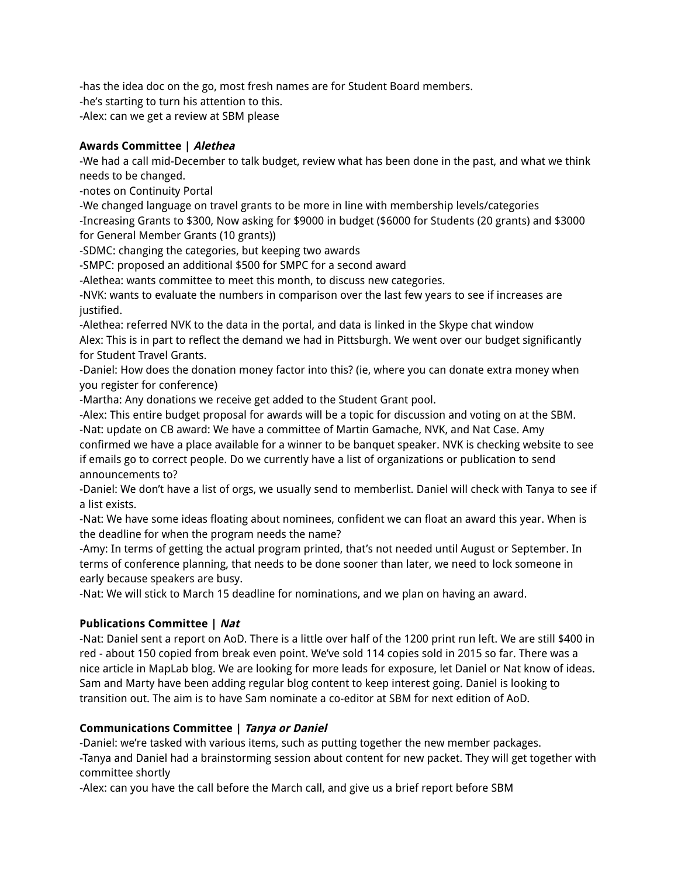-has the idea doc on the go, most fresh names are for Student Board members.

-he's starting to turn his attention to this.

-Alex: can we get a review at SBM please

# **Awards Committee | Alethea**

-We had a call mid-December to talk budget, review what has been done in the past, and what we think needs to be changed.

-notes on Continuity Portal

-We changed language on travel grants to be more in line with membership levels/categories -Increasing Grants to \$300, Now asking for \$9000 in budget (\$6000 for Students (20 grants) and \$3000 for General Member Grants (10 grants))

-SDMC: changing the categories, but keeping two awards

-SMPC: proposed an additional \$500 for SMPC for a second award

-Alethea: wants committee to meet this month, to discuss new categories.

-NVK: wants to evaluate the numbers in comparison over the last few years to see if increases are justified.

-Alethea: referred NVK to the data in the portal, and data is linked in the Skype chat window Alex: This is in part to reflect the demand we had in Pittsburgh. We went over our budget significantly for Student Travel Grants.

-Daniel: How does the donation money factor into this? (ie, where you can donate extra money when you register for conference)

-Martha: Any donations we receive get added to the Student Grant pool.

-Alex: This entire budget proposal for awards will be a topic for discussion and voting on at the SBM.

-Nat: update on CB award: We have a committee of Martin Gamache, NVK, and Nat Case. Amy confirmed we have a place available for a winner to be banquet speaker. NVK is checking website to see if emails go to correct people. Do we currently have a list of organizations or publication to send announcements to?

-Daniel: We don't have a list of orgs, we usually send to memberlist. Daniel will check with Tanya to see if a list exists.

-Nat: We have some ideas floating about nominees, confident we can float an award this year. When is the deadline for when the program needs the name?

-Amy: In terms of getting the actual program printed, that's not needed until August or September. In terms of conference planning, that needs to be done sooner than later, we need to lock someone in early because speakers are busy.

-Nat: We will stick to March 15 deadline for nominations, and we plan on having an award.

# **Publications Committee | Nat**

-Nat: Daniel sent a report on AoD. There is a little over half of the 1200 print run left. We are still \$400 in red - about 150 copied from break even point. We've sold 114 copies sold in 2015 so far. There was a nice article in MapLab blog. We are looking for more leads for exposure, let Daniel or Nat know of ideas. Sam and Marty have been adding regular blog content to keep interest going. Daniel is looking to transition out. The aim is to have Sam nominate a co-editor at SBM for next edition of AoD.

# **Communications Committee | Tanya or Daniel**

-Daniel: we're tasked with various items, such as putting together the new member packages. -Tanya and Daniel had a brainstorming session about content for new packet. They will get together with committee shortly

-Alex: can you have the call before the March call, and give us a brief report before SBM